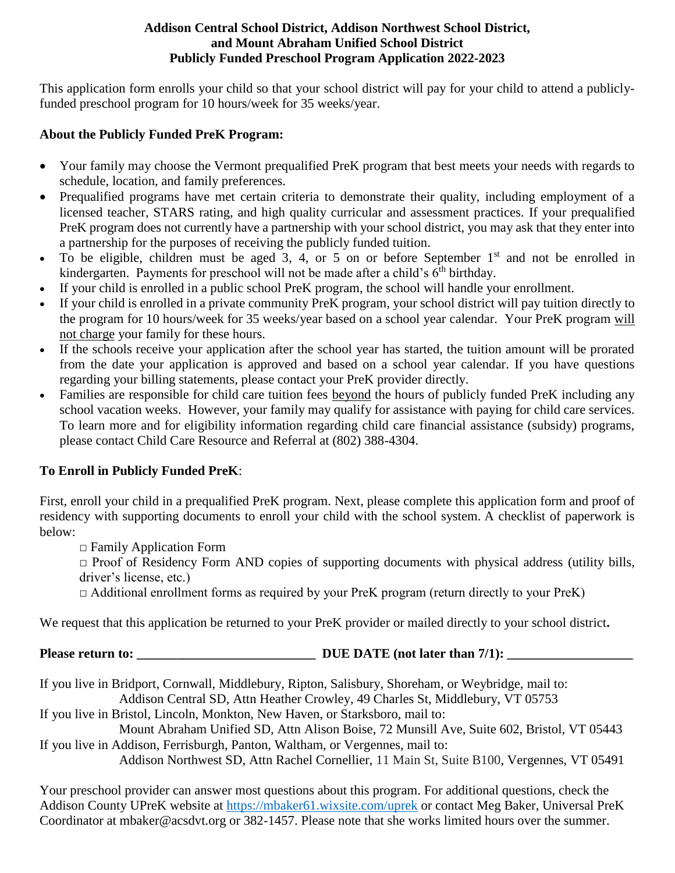### **Addison Central School District, Addison Northwest School District, and Mount Abraham Unified School District Publicly Funded Preschool Program Application 2022-2023**

This application form enrolls your child so that your school district will pay for your child to attend a publiclyfunded preschool program for 10 hours/week for 35 weeks/year.

### **About the Publicly Funded PreK Program:**

- Your family may choose the Vermont prequalified PreK program that best meets your needs with regards to schedule, location, and family preferences.
- Prequalified programs have met certain criteria to demonstrate their quality, including employment of a licensed teacher, STARS rating, and high quality curricular and assessment practices. If your prequalified PreK program does not currently have a partnership with your school district, you may ask that they enter into a partnership for the purposes of receiving the publicly funded tuition.
- To be eligible, children must be aged 3, 4, or 5 on or before September  $1<sup>st</sup>$  and not be enrolled in kindergarten. Payments for preschool will not be made after a child's  $6<sup>th</sup>$  birthday.
- If your child is enrolled in a public school PreK program, the school will handle your enrollment.
- If your child is enrolled in a private community PreK program, your school district will pay tuition directly to the program for 10 hours/week for 35 weeks/year based on a school year calendar. Your PreK program will not charge your family for these hours.
- If the schools receive your application after the school year has started, the tuition amount will be prorated from the date your application is approved and based on a school year calendar. If you have questions regarding your billing statements, please contact your PreK provider directly.
- Families are responsible for child care tuition fees beyond the hours of publicly funded PreK including any school vacation weeks. However, your family may qualify for assistance with paying for child care services. To learn more and for eligibility information regarding child care financial assistance (subsidy) programs, please contact Child Care Resource and Referral at (802) 388-4304.

# **To Enroll in Publicly Funded PreK**:

First, enroll your child in a prequalified PreK program. Next, please complete this application form and proof of residency with supporting documents to enroll your child with the school system. A checklist of paperwork is below:

 $\Box$  Family Application Form

 $\Box$  Proof of Residency Form AND copies of supporting documents with physical address (utility bills, driver's license, etc.)

 $\Box$  Additional enrollment forms as required by your PreK program (return directly to your PreK)

We request that this application be returned to your PreK provider or mailed directly to your school district**.**

**Please return to: \_\_\_\_\_\_\_\_\_\_\_\_\_\_\_\_\_\_\_\_\_\_\_\_\_\_\_ DUE DATE (not later than 7/1): \_\_\_\_\_\_\_\_\_\_\_\_\_\_\_\_\_\_\_**

If you live in Bridport, Cornwall, Middlebury, Ripton, Salisbury, Shoreham, or Weybridge, mail to:

Addison Central SD, Attn Heather Crowley, 49 Charles St, Middlebury, VT 05753

If you live in Bristol, Lincoln, Monkton, New Haven, or Starksboro, mail to:

Mount Abraham Unified SD, Attn Alison Boise, 72 Munsill Ave, Suite 602, Bristol, VT 05443 If you live in Addison, Ferrisburgh, Panton, Waltham, or Vergennes, mail to:

Addison Northwest SD, Attn Rachel Cornellier, 11 Main St, Suite B100, Vergennes, VT 05491

Your preschool provider can answer most questions about this program. For additional questions, check the Addison County UPreK website at<https://mbaker61.wixsite.com/uprek> or contact Meg Baker, Universal PreK Coordinator at mbaker@acsdvt.org or 382-1457. Please note that she works limited hours over the summer.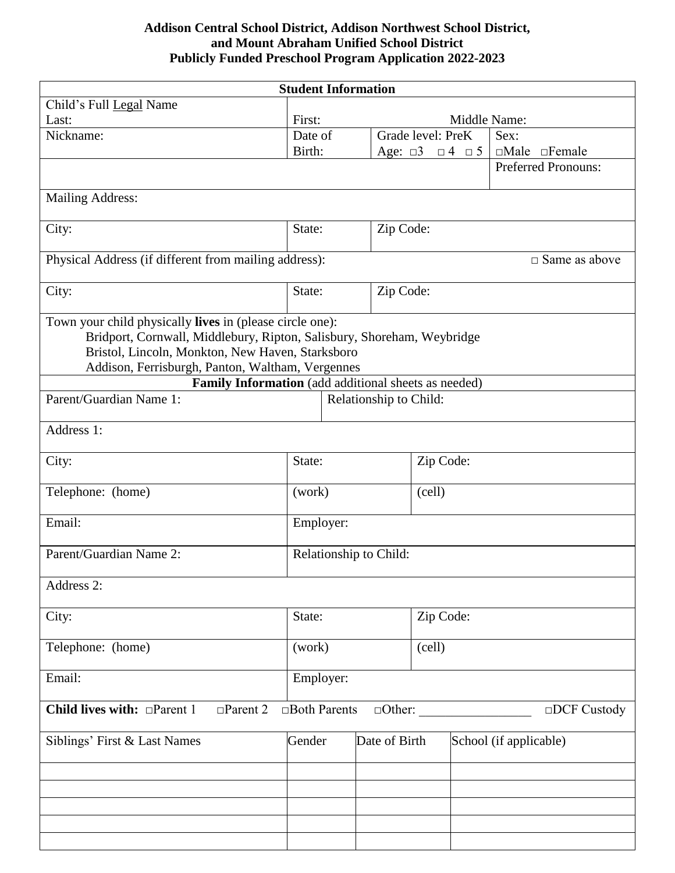# **Addison Central School District, Addison Northwest School District, and Mount Abraham Unified School District Publicly Funded Preschool Program Application 2022-2023**

| <b>Student Information</b>                                                                                                                                                                                                                 |                        |                                         |                   |                                                             |  |
|--------------------------------------------------------------------------------------------------------------------------------------------------------------------------------------------------------------------------------------------|------------------------|-----------------------------------------|-------------------|-------------------------------------------------------------|--|
| Child's Full Legal Name                                                                                                                                                                                                                    |                        |                                         |                   |                                                             |  |
| Last:                                                                                                                                                                                                                                      | First:                 |                                         |                   | Middle Name:                                                |  |
| Nickname:                                                                                                                                                                                                                                  | Date of                |                                         | Grade level: PreK | Sex:                                                        |  |
|                                                                                                                                                                                                                                            | Birth:                 |                                         |                   | Age: $\Box 3$ $\Box 4$ $\Box 5$   $\Box$ Male $\Box$ Female |  |
|                                                                                                                                                                                                                                            |                        |                                         |                   | <b>Preferred Pronouns:</b>                                  |  |
|                                                                                                                                                                                                                                            |                        |                                         |                   |                                                             |  |
| <b>Mailing Address:</b>                                                                                                                                                                                                                    |                        |                                         |                   |                                                             |  |
| City:                                                                                                                                                                                                                                      | State:<br>Zip Code:    |                                         |                   |                                                             |  |
| Physical Address (if different from mailing address):<br>$\square$ Same as above                                                                                                                                                           |                        |                                         |                   |                                                             |  |
| City:                                                                                                                                                                                                                                      | Zip Code:<br>State:    |                                         |                   |                                                             |  |
| Town your child physically lives in (please circle one):<br>Bridport, Cornwall, Middlebury, Ripton, Salisbury, Shoreham, Weybridge<br>Bristol, Lincoln, Monkton, New Haven, Starksboro<br>Addison, Ferrisburgh, Panton, Waltham, Vergennes |                        |                                         |                   |                                                             |  |
| Family Information (add additional sheets as needed)                                                                                                                                                                                       |                        |                                         |                   |                                                             |  |
| Parent/Guardian Name 1:                                                                                                                                                                                                                    | Relationship to Child: |                                         |                   |                                                             |  |
| Address 1:                                                                                                                                                                                                                                 |                        |                                         |                   |                                                             |  |
| City:                                                                                                                                                                                                                                      | State:<br>Zip Code:    |                                         |                   |                                                             |  |
| Telephone: (home)                                                                                                                                                                                                                          | (work)                 |                                         | (cell)            |                                                             |  |
| Email:                                                                                                                                                                                                                                     | Employer:              |                                         |                   |                                                             |  |
| Parent/Guardian Name 2:                                                                                                                                                                                                                    | Relationship to Child: |                                         |                   |                                                             |  |
| Address 2:                                                                                                                                                                                                                                 |                        |                                         |                   |                                                             |  |
| City:                                                                                                                                                                                                                                      | Zip Code:<br>State:    |                                         |                   |                                                             |  |
| Telephone: (home)                                                                                                                                                                                                                          | (work)<br>(cell)       |                                         |                   |                                                             |  |
| Email:                                                                                                                                                                                                                                     | Employer:              |                                         |                   |                                                             |  |
| Child lives with: $\Box$ Parent 1<br>□Both Parents<br>$\Box$ Parent 2<br>$\Box$ Other:<br>$\Box$ DCF Custody                                                                                                                               |                        |                                         |                   |                                                             |  |
| Siblings' First & Last Names                                                                                                                                                                                                               | Gender                 | Date of Birth<br>School (if applicable) |                   |                                                             |  |
|                                                                                                                                                                                                                                            |                        |                                         |                   |                                                             |  |
|                                                                                                                                                                                                                                            |                        |                                         |                   |                                                             |  |
|                                                                                                                                                                                                                                            |                        |                                         |                   |                                                             |  |
|                                                                                                                                                                                                                                            |                        |                                         |                   |                                                             |  |
|                                                                                                                                                                                                                                            |                        |                                         |                   |                                                             |  |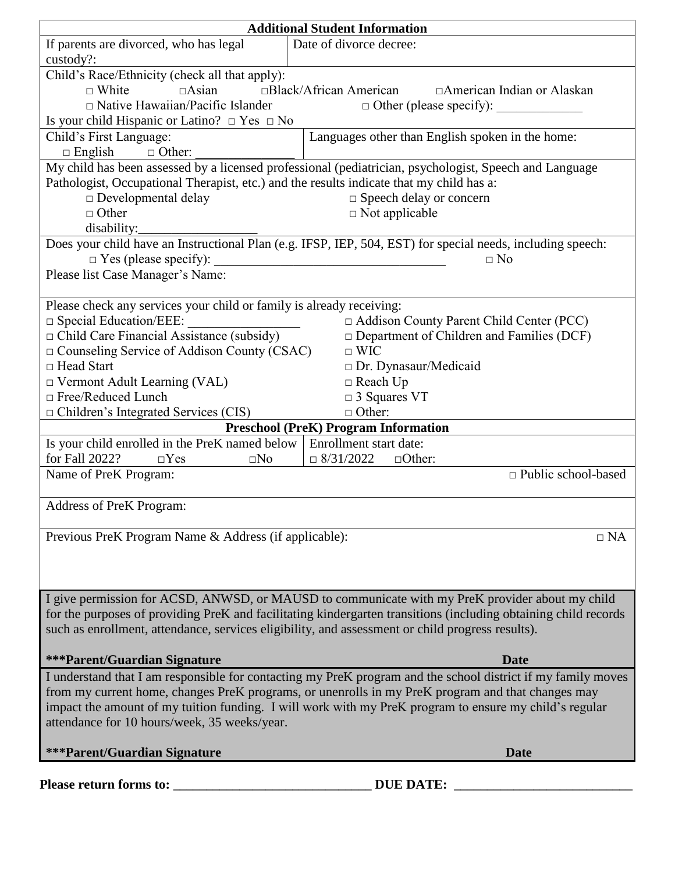| <b>Additional Student Information</b>                                                                      |                                                                                                                 |  |  |  |  |
|------------------------------------------------------------------------------------------------------------|-----------------------------------------------------------------------------------------------------------------|--|--|--|--|
| If parents are divorced, who has legal                                                                     | Date of divorce decree:                                                                                         |  |  |  |  |
| custody?:                                                                                                  |                                                                                                                 |  |  |  |  |
| Child's Race/Ethnicity (check all that apply):                                                             |                                                                                                                 |  |  |  |  |
| □Black/African American<br>$\Box$ White<br>$\Box$ Asian<br>□ American Indian or Alaskan                    |                                                                                                                 |  |  |  |  |
| $\Box$ Native Hawaiian/Pacific Islander<br>$\Box$ Other (please specify):                                  |                                                                                                                 |  |  |  |  |
| Is your child Hispanic or Latino? $\Box$ Yes $\Box$ No                                                     |                                                                                                                 |  |  |  |  |
| Child's First Language:                                                                                    | Languages other than English spoken in the home:                                                                |  |  |  |  |
| $\Box$ Other:<br>$\Box$ English                                                                            |                                                                                                                 |  |  |  |  |
| My child has been assessed by a licensed professional (pediatrician, psychologist, Speech and Language     |                                                                                                                 |  |  |  |  |
|                                                                                                            |                                                                                                                 |  |  |  |  |
| Pathologist, Occupational Therapist, etc.) and the results indicate that my child has a:                   |                                                                                                                 |  |  |  |  |
| □ Developmental delay<br>$\Box$ Speech delay or concern                                                    |                                                                                                                 |  |  |  |  |
| $\Box$ Other<br>$\Box$ Not applicable                                                                      |                                                                                                                 |  |  |  |  |
| disability:_                                                                                               |                                                                                                                 |  |  |  |  |
| Does your child have an Instructional Plan (e.g. IFSP, IEP, 504, EST) for special needs, including speech: |                                                                                                                 |  |  |  |  |
| $\Box$ Yes (please specify):<br>$\Box$ No                                                                  |                                                                                                                 |  |  |  |  |
| Please list Case Manager's Name:                                                                           |                                                                                                                 |  |  |  |  |
|                                                                                                            |                                                                                                                 |  |  |  |  |
| Please check any services your child or family is already receiving:                                       |                                                                                                                 |  |  |  |  |
| $\square$ Special Education/EEE:                                                                           | □ Addison County Parent Child Center (PCC)                                                                      |  |  |  |  |
| □ Child Care Financial Assistance (subsidy)                                                                | $\Box$ Department of Children and Families (DCF)                                                                |  |  |  |  |
| $\Box$ Counseling Service of Addison County (CSAC)<br>$\Box$ WIC                                           |                                                                                                                 |  |  |  |  |
| □ Head Start<br>□ Dr. Dynasaur/Medicaid                                                                    |                                                                                                                 |  |  |  |  |
| $\Box$ Vermont Adult Learning (VAL)<br>$\Box$ Reach Up                                                     |                                                                                                                 |  |  |  |  |
| □ Free/Reduced Lunch                                                                                       | $\Box$ 3 Squares VT                                                                                             |  |  |  |  |
| $\Box$ Children's Integrated Services (CIS)                                                                | $\Box$ Other:                                                                                                   |  |  |  |  |
| <b>Preschool (PreK) Program Information</b>                                                                |                                                                                                                 |  |  |  |  |
| Is your child enrolled in the PreK named below<br>Enrollment start date:                                   |                                                                                                                 |  |  |  |  |
| for Fall 2022?<br>$\Box$ Yes<br>$\square$ No                                                               | $\Box$ 8/31/2022<br>$\Box$ Other:                                                                               |  |  |  |  |
|                                                                                                            | $\Box$ Public school-based                                                                                      |  |  |  |  |
| Name of PreK Program:                                                                                      |                                                                                                                 |  |  |  |  |
|                                                                                                            |                                                                                                                 |  |  |  |  |
| <b>Address of PreK Program:</b>                                                                            |                                                                                                                 |  |  |  |  |
|                                                                                                            |                                                                                                                 |  |  |  |  |
| Previous PreK Program Name & Address (if applicable):                                                      | $\Box$ NA                                                                                                       |  |  |  |  |
|                                                                                                            |                                                                                                                 |  |  |  |  |
|                                                                                                            |                                                                                                                 |  |  |  |  |
|                                                                                                            |                                                                                                                 |  |  |  |  |
|                                                                                                            | I give permission for ACSD, ANWSD, or MAUSD to communicate with my PreK provider about my child                 |  |  |  |  |
|                                                                                                            | for the purposes of providing PreK and facilitating kindergarten transitions (including obtaining child records |  |  |  |  |
| such as enrollment, attendance, services eligibility, and assessment or child progress results).           |                                                                                                                 |  |  |  |  |
|                                                                                                            |                                                                                                                 |  |  |  |  |
| <b>***Parent/Guardian Signature</b>                                                                        | <b>Date</b>                                                                                                     |  |  |  |  |
|                                                                                                            | I understand that I am responsible for contacting my PreK program and the school district if my family moves    |  |  |  |  |
|                                                                                                            | from my current home, changes PreK programs, or unenrolls in my PreK program and that changes may               |  |  |  |  |
| impact the amount of my tuition funding. I will work with my PreK program to ensure my child's regular     |                                                                                                                 |  |  |  |  |
| attendance for 10 hours/week, 35 weeks/year.                                                               |                                                                                                                 |  |  |  |  |
|                                                                                                            |                                                                                                                 |  |  |  |  |
| <b>***Parent/Guardian Signature</b>                                                                        | <b>Date</b>                                                                                                     |  |  |  |  |
|                                                                                                            |                                                                                                                 |  |  |  |  |
|                                                                                                            | <b>DUE DATE:</b>                                                                                                |  |  |  |  |
| Please return forms to:                                                                                    |                                                                                                                 |  |  |  |  |